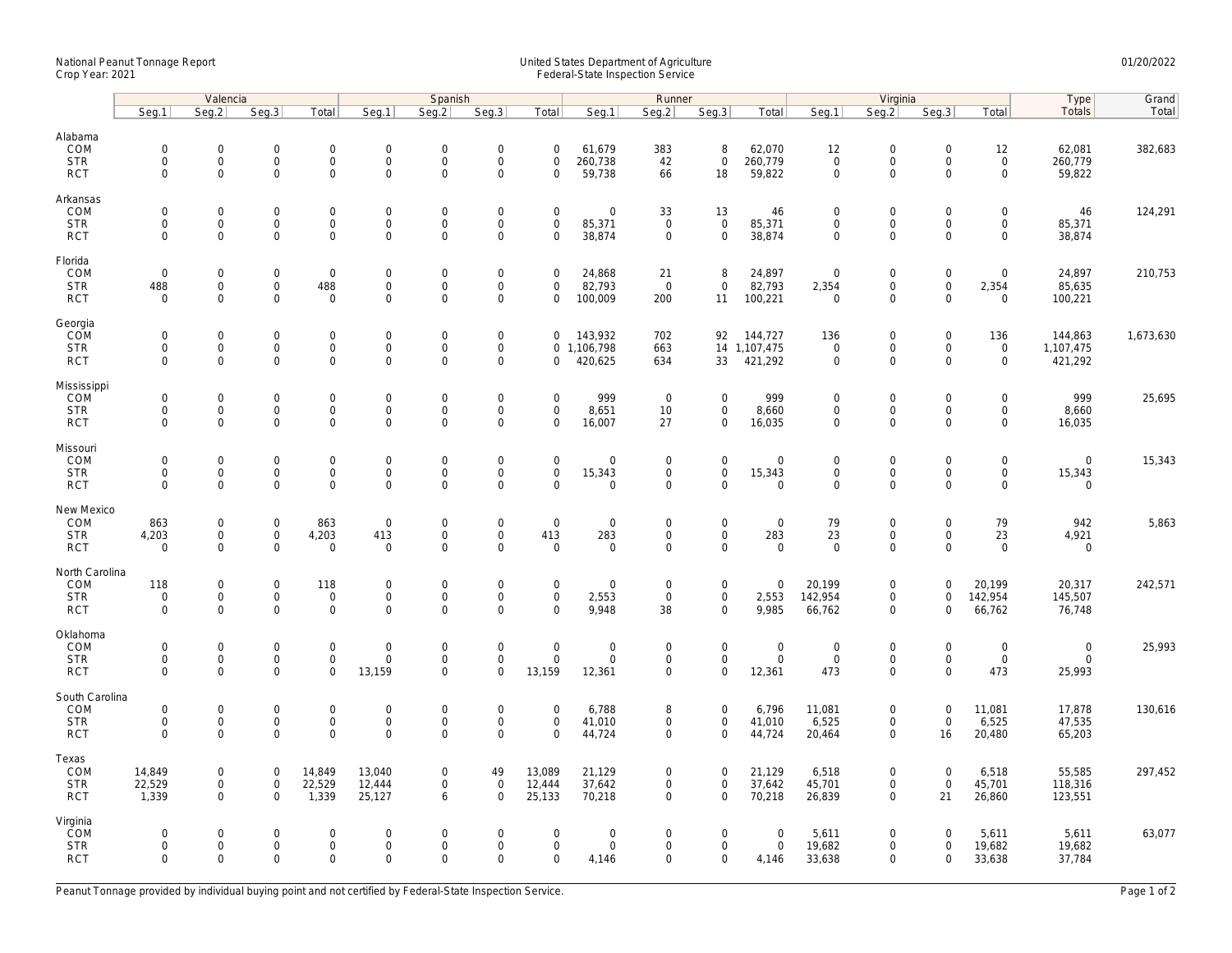## National Peanut Tonnage Report United States Department of Agriculture 01/20/2022 Crop Year: 2021 Federal-State Inspection Service

|                                                   | Valencia                                                   |                                                   |                                                           |                                                    | Spanish                                              |                                                           |                                                           |                                                   | Runner                               |                                           |                                                            |                                                | Virginia                                  |                                                                   |                                           |                                                    | Type                                  | Grand     |
|---------------------------------------------------|------------------------------------------------------------|---------------------------------------------------|-----------------------------------------------------------|----------------------------------------------------|------------------------------------------------------|-----------------------------------------------------------|-----------------------------------------------------------|---------------------------------------------------|--------------------------------------|-------------------------------------------|------------------------------------------------------------|------------------------------------------------|-------------------------------------------|-------------------------------------------------------------------|-------------------------------------------|----------------------------------------------------|---------------------------------------|-----------|
|                                                   | Seg.1                                                      | Seq.2                                             | Seq.3                                                     | Total                                              | Seg.1                                                | Seq.2                                                     | Seg.3                                                     | Total                                             | Seg.1                                | Seg.2                                     | Seq.3                                                      | Total                                          | Seg.1                                     | Seg.2                                                             | Seq.3                                     | Total                                              | Totals                                | Total     |
| Alabama<br>COM<br><b>STR</b><br><b>RCT</b>        | $\mathsf{O}\xspace$<br>0<br>$\mathbf 0$                    | 0<br>$\mathsf{O}\xspace$<br>$\mathbf 0$           | $\mathbf 0$<br>$\mathsf{O}\xspace$<br>$\mathsf{O}\xspace$ | $\mathsf{O}$<br>$\mathsf{O}\xspace$<br>$\mathbf 0$ | $\mathbf 0$<br>$\mathbf 0$<br>$\mathsf{O}\xspace$    | $\mathbf 0$<br>$\mathbf 0$<br>$\mathbf 0$                 | $\boldsymbol{0}$<br>$\mathsf{O}\xspace$<br>$\mathbf 0$    | $\mathsf{O}\xspace$<br>$\mathbf 0$<br>$\mathbf 0$ | 61,679<br>260,738<br>59,738          | 383<br>42<br>66                           | 8<br>$\mathsf{O}\xspace$<br>18                             | 62,070<br>260,779<br>59,822                    | 12<br>$\mathbf 0$<br>$\mathbf 0$          | $\mathsf{O}\xspace$<br>$\mathsf{O}\xspace$<br>$\mathbf 0$         | $\mathbf 0$<br>$\mathbf 0$<br>$\mathbf 0$ | 12<br>$\mathsf{O}\xspace$<br>$\mathsf{O}$          | 62,081<br>260,779<br>59,822           | 382,683   |
| Arkansas<br>COM<br><b>STR</b><br><b>RCT</b>       | $\mathbf 0$<br>$\mathbf 0$<br>$\mathbf{0}$                 | 0<br>$\mathbf 0$<br>0                             | $\mathbf 0$<br>$\mathbf 0$<br>$\mathsf{O}\xspace$         | $\mathsf 0$<br>$\mathbf{0}$<br>$\mathbf 0$         | $\mathbf 0$<br>$\mathbf{0}$<br>$\mathsf{O}\xspace$   | $\mathbf 0$<br>$\mathbf 0$<br>$\mathbf 0$                 | $\mathbf 0$<br>$\mathsf{O}\xspace$<br>$\mathsf 0$         | $\mathbf 0$<br>$\mathbf 0$<br>$\mathbf 0$         | 0<br>85,371<br>38,874                | 33<br>$\mathbf{0}$<br>$\mathsf 0$         | 13<br>$\mathbf 0$<br>$\mathbf 0$                           | 46<br>85,371<br>38,874                         | $\mathbf 0$<br>$\mathbf 0$<br>$\mathbf 0$ | $\mathbf 0$<br>$\mathbf 0$<br>$\mathbf 0$                         | $\mathbf 0$<br>$\mathbf 0$<br>$\mathbf 0$ | $\mathsf{O}\xspace$<br>$\mathbf{0}$<br>$\mathbf 0$ | 46<br>85,371<br>38,874                | 124,291   |
| Florida<br>COM<br><b>STR</b><br><b>RCT</b>        | $\mathsf{O}\xspace$<br>488<br>$\Omega$                     | 0<br>0<br>$\Omega$                                | $\mathbf 0$<br>$\mathsf 0$<br>$\mathbf 0$                 | $\mathsf 0$<br>488<br>$\mathbf 0$                  | $\mathbf 0$<br>$\boldsymbol{0}$<br>$\mathbf 0$       | $\mathsf{O}\xspace$<br>$\mathbf 0$<br>$\Omega$            | $\mathsf{O}\xspace$<br>$\mathsf 0$<br>$\mathsf 0$         | $\mathbf 0$<br>$\mathbf 0$<br>$\Omega$            | 24,868<br>82,793<br>100,009          | 21<br>$\overline{0}$<br>200               | 8<br>$\mathbf 0$<br>11                                     | 24,897<br>82,793<br>100,221                    | $\mathbf 0$<br>2,354<br>$\Omega$          | $\mathsf{O}\xspace$<br>$\mathsf{O}\xspace$<br>$\Omega$            | $\mathbf 0$<br>$\mathbf 0$<br>$\Omega$    | $\mathsf{O}\xspace$<br>2,354<br>$\Omega$           | 24,897<br>85,635<br>100,221           | 210,753   |
| Georgia<br>COM<br><b>STR</b><br><b>RCT</b>        | $\mathsf{O}\xspace$<br>$\mathbf 0$<br>$\mathbf{0}$         | 0<br>0<br>$\mathbf 0$                             | $\mathbf 0$<br>$\mathsf{O}\xspace$<br>$\mathbf 0$         | $\mathsf 0$<br>$\mathsf{O}$<br>$\mathbf{0}$        | $\boldsymbol{0}$<br>$\boldsymbol{0}$<br>$\mathbf{0}$ | $\mathsf{O}\xspace$<br>$\mathsf{O}\xspace$<br>$\mathbf 0$ | $\mathsf{O}\xspace$<br>$\mathsf{O}\xspace$<br>$\mathbf 0$ | $\mathbf 0$<br>$\mathbf 0$                        | 143,932<br>0 1,106,798<br>420,625    | 702<br>663<br>634                         | 92<br>33                                                   | 144,727<br>14 1,107,475<br>421,292             | 136<br>$\mathbf 0$<br>$\mathbf 0$         | $\mathbf 0$<br>$\mathsf{O}\xspace$<br>$\mathbf 0$                 | $\mathbf 0$<br>0<br>$\Omega$              | 136<br>$\mathsf{O}\xspace$<br>$\mathbf{0}$         | 144,863<br>1,107,475<br>421,292       | 1,673,630 |
| Mississippi<br>COM<br><b>STR</b><br><b>RCT</b>    | $\mathbf 0$<br>$\mathsf{O}\xspace$<br>$\mathbf 0$          | $\mathbf 0$<br>$\mathsf{O}\xspace$<br>$\mathbf 0$ | $\mathbf 0$<br>$\mathbf 0$<br>$\mathbf 0$                 | $\mathbf 0$<br>$\mathbf 0$<br>$\mathbf 0$          | $\boldsymbol{0}$<br>$\boldsymbol{0}$<br>$\mathbf{0}$ | $\mathbf 0$<br>$\mathbf 0$<br>$\mathbf 0$                 | $\mathsf{O}\xspace$<br>$\mathsf{O}\xspace$<br>$\mathbf 0$ | $\mathbf 0$<br>$\mathbf 0$<br>$\mathbf 0$         | 999<br>8,651<br>16,007               | $\overline{0}$<br>10<br>27                | $\mathbf 0$<br>$\mathsf{O}$<br>$\mathbf 0$                 | 999<br>8,660<br>16,035                         | $\mathbf 0$<br>$\mathbf 0$<br>$\mathbf 0$ | $\mathsf{O}\xspace$<br>$\mathsf{O}\xspace$<br>$\mathbf 0$         | $\Omega$<br>$\mathbf 0$<br>$\mathbf 0$    | $\mathbf 0$<br>$\mathsf{O}$<br>$\mathbf 0$         | 999<br>8,660<br>16,035                | 25,695    |
| Missouri<br>COM<br><b>STR</b><br><b>RCT</b>       | $\mathbf 0$<br>$\mathbf 0$<br>$\mathbf 0$                  | $\mathbf 0$<br>0<br>0                             | $\mathbf 0$<br>$\mathsf 0$<br>$\mathsf{O}\xspace$         | $\mathsf{O}$<br>$\mathsf{O}\xspace$<br>$\mathbf 0$ | $\mathbf 0$<br>$\boldsymbol{0}$<br>$\mathbf 0$       | $\mathbf 0$<br>$\mathsf{O}\xspace$<br>$\mathbf 0$         | $\mathbf 0$<br>$\mathsf{O}\xspace$<br>$\mathbf 0$         | $\mathbf 0$<br>$\mathbf 0$<br>$\Omega$            | $\mathbf 0$<br>15,343<br>$\mathbf 0$ | $\mathbf 0$<br>$\mathbf 0$<br>$\mathbf 0$ | $\mathbf 0$<br>$\mathsf{O}\xspace$<br>$\mathbf 0$          | $\mathbf 0$<br>15,343<br>$\mathbf 0$           | $\mathbf 0$<br>$\mathsf 0$<br>$\mathbf 0$ | $\mathbf 0$<br>$\mathsf{O}\xspace$<br>$\mathbf 0$                 | $\mathbf 0$<br>$\mathbf 0$<br>$\mathbf 0$ | $\mathbf 0$<br>$\mathbf 0$<br>$\mathbf 0$          | $\mathbf{0}$<br>15,343<br>$\mathbf 0$ | 15,343    |
| New Mexico<br>COM<br><b>STR</b><br><b>RCT</b>     | 863<br>4,203<br>$\mathbf 0$                                | 0<br>0<br>$\mathbf 0$                             | $\mathbf 0$<br>$\mathsf 0$<br>$\mathsf 0$                 | 863<br>4,203<br>$\mathsf{O}$                       | $\mathbf 0$<br>413<br>$\mathbf 0$                    | $\mathsf{O}\xspace$<br>$\mathbf 0$<br>$\mathbf 0$         | $\mathsf 0$<br>$\overline{0}$<br>$\overline{0}$           | $\mathbf 0$<br>413<br>$\mathbf 0$                 | 0<br>283<br>$\mathbf 0$              | $\mathsf 0$<br>$\mathsf 0$<br>$\mathbf 0$ | $\mathsf 0$<br>$\mathsf{O}\xspace$<br>$\mathbf 0$          | $\mathbf 0$<br>283<br>$\mathsf 0$              | 79<br>23<br>$\mathbf 0$                   | $\mathsf{O}\xspace$<br>$\mathsf{O}\xspace$<br>$\mathsf{O}\xspace$ | $\mathbf 0$<br>$\mathbf 0$<br>$\Omega$    | 79<br>23<br>$\mathbf 0$                            | 942<br>4,921<br>$\mathbf 0$           | 5,863     |
| North Carolina<br>COM<br><b>STR</b><br><b>RCT</b> | 118<br>$\mathsf{O}\xspace$<br>$\mathbf 0$                  | 0<br>0<br>$\mathbf 0$                             | $\mathbf 0$<br>$\mathsf{O}$<br>$\mathbf 0$                | 118<br>$\mathsf{O}$<br>$\mathbf 0$                 | $\boldsymbol{0}$<br>$\boldsymbol{0}$<br>$\mathbf 0$  | $\mathbf 0$<br>$\mathbf 0$<br>$\mathbf 0$                 | $\mathsf{O}\xspace$<br>$\mathsf{O}\xspace$<br>$\mathbf 0$ | $\mathsf{O}\xspace$<br>$\mathbf 0$<br>$\mathbf 0$ | 0<br>2,553<br>9,948                  | $\mathbf 0$<br>$\mathbf 0$<br>38          | $\mathsf{O}\xspace$<br>$\mathsf{O}\xspace$<br>$\mathbf{0}$ | $\mathbf 0$<br>2,553<br>9,985                  | 20,199<br>142,954<br>66,762               | $\mathsf{O}\xspace$<br>$\mathbf 0$<br>$\mathbf 0$                 | $\overline{0}$<br>$\mathbf 0$<br>$\Omega$ | 20,199<br>142,954<br>66,762                        | 20,317<br>145,507<br>76,748           | 242,571   |
| Oklahoma<br>COM<br><b>STR</b><br><b>RCT</b>       | $\mathsf{O}\xspace$<br>$\mathsf{O}\xspace$<br>$\mathbf{0}$ | 0<br>$\mathsf{O}\xspace$<br>0                     | $\mathbf 0$<br>$\mathsf 0$<br>$\mathbf 0$                 | $\mathsf 0$<br>$\mathbf 0$<br>$\mathbf 0$          | $\mathbf 0$<br>$\mathbf 0$<br>13,159                 | $\mathbf 0$<br>$\mathbf 0$<br>$\mathbf 0$                 | $\mathsf{O}\xspace$<br>$\mathsf{O}\xspace$<br>$\mathbf 0$ | $\mathsf{O}\xspace$<br>$\mathbf 0$<br>13,159      | 0<br>0<br>12,361                     | $\mathbf 0$<br>$\mathsf 0$<br>$\mathbf 0$ | $\mathsf{O}\xspace$<br>$\mathsf{O}\xspace$<br>$\mathbf 0$  | $\mathbf 0$<br>$\mathsf{O}\xspace$<br>12,361   | $\mathbf 0$<br>$\mathbf 0$<br>473         | $\mathsf{O}\xspace$<br>$\mathsf{O}\xspace$<br>$\mathbf 0$         | $\mathbf 0$<br>$\mathbf 0$<br>$\Omega$    | $\mathsf{O}\xspace$<br>$\mathbf 0$<br>473          | $\mathsf{O}$<br>$\mathbf 0$<br>25,993 | 25,993    |
| South Carolina<br>COM<br><b>STR</b><br><b>RCT</b> | $\mathsf{O}\xspace$<br>$\mathsf{O}\xspace$<br>$\Omega$     | 0<br>0<br>$\Omega$                                | $\mathbf 0$<br>$\mathbf 0$<br>$\mathbf 0$                 | $\mathsf 0$<br>$\mathsf{O}\xspace$<br>$\mathbf 0$  | $\mathbf 0$<br>$\mathbf 0$<br>$\Omega$               | $\mathsf{O}\xspace$<br>$\mathbf 0$<br>$\Omega$            | $\mathsf{O}\xspace$<br>$\mathsf 0$<br>$\Omega$            | $\mathbf 0$<br>$\mathbf 0$<br>$\Omega$            | 6,788<br>41,010<br>44,724            | 8<br>$\mathsf 0$<br>$\mathbf 0$           | $\mathbf 0$<br>$\mathbf 0$<br>$\mathbf 0$                  | 6,796<br>41,010<br>44,724                      | 11,081<br>6,525<br>20,464                 | $\mathsf{O}\xspace$<br>$\mathsf{O}\xspace$<br>$\mathbf 0$         | $\mathbf 0$<br>$\mathbf 0$<br>16          | 11,081<br>6,525<br>20,480                          | 17,878<br>47,535<br>65,203            | 130,616   |
| Texas<br>COM<br><b>STR</b><br><b>RCT</b>          | 14,849<br>22,529<br>1,339                                  | 0<br>0<br>$\mathbf 0$                             | $\mathbf 0$<br>$\mathsf{O}$<br>$\mathbf 0$                | 14,849<br>22,529<br>1,339                          | 13,040<br>12,444<br>25,127                           | $\mathbf 0$<br>$\mathbf 0$<br>6                           | 49<br>$\mathsf{O}\xspace$<br>$\Omega$                     | 13,089<br>12,444<br>25,133                        | 21,129<br>37,642<br>70,218           | $\mathbf 0$<br>$\mathbf 0$<br>$\mathbf 0$ | $\mathbf 0$<br>$\mathsf{O}\xspace$<br>$\mathbf{0}$         | 21,129<br>37,642<br>70,218                     | 6,518<br>45,701<br>26,839                 | $\mathbf 0$<br>$\mathsf{O}\xspace$<br>$\mathbf 0$                 | $\mathbf 0$<br>$\mathbf 0$<br>21          | 6,518<br>45,701<br>26,860                          | 55,585<br>118,316<br>123,551          | 297,452   |
| Virginia<br>COM<br><b>STR</b><br><b>RCT</b>       | 0<br>$\mathbf 0$<br>$\mathbf 0$                            | $\mathbf 0$<br>0<br>$\mathbf 0$                   | $\mathbf 0$<br>$\mathsf 0$<br>$\mathbf 0$                 | $\mathbf{0}$<br>$\mathsf{O}\xspace$<br>$\mathbf 0$ | $\mathbf 0$<br>$\boldsymbol{0}$<br>$\mathbf 0$       | $\Omega$<br>$\mathsf{O}\xspace$<br>$\mathbf 0$            | $\mathbf 0$<br>$\mathsf 0$<br>$\Omega$                    | $\mathbf 0$<br>$\mathbf 0$<br>$\mathbf 0$         | $\mathbf 0$<br>0<br>4,146            | $\mathbf 0$<br>$\mathbf 0$<br>$\mathbf 0$ | $\mathbf 0$<br>$\mathbf 0$<br>$\mathbf 0$                  | $\overline{0}$<br>$\mathsf{O}\xspace$<br>4,146 | 5,611<br>19,682<br>33,638                 | $\mathbf 0$<br>$\mathsf{O}\xspace$<br>$\mathbf 0$                 | $\Omega$<br>$\mathbf 0$<br>$\mathbf 0$    | 5,611<br>19,682<br>33,638                          | 5,611<br>19,682<br>37,784             | 63,077    |

Peanut Tonnage provided by individual buying point and not certified by Federal-State Inspection Service. Page 1 of 2